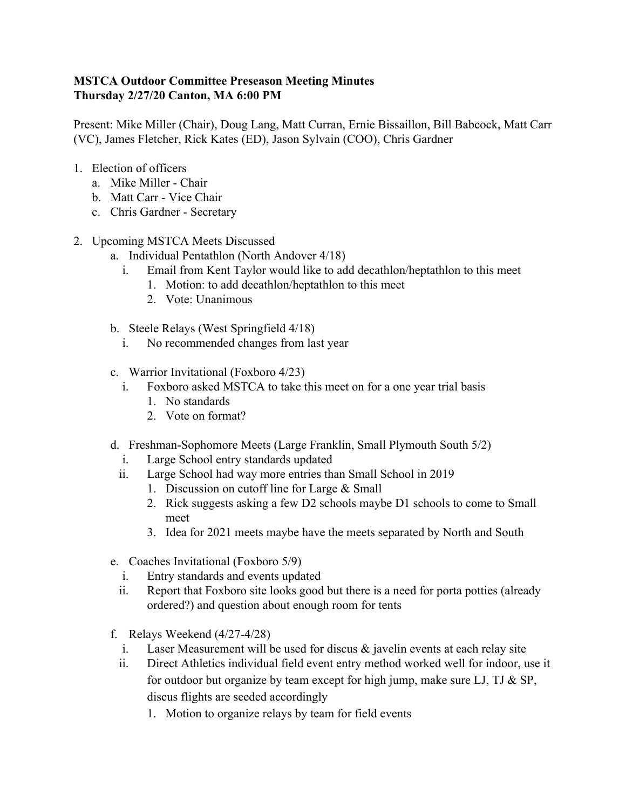## **MSTCA Outdoor Committee Preseason Meeting Minutes Thursday 2/27/20 Canton, MA 6:00 PM**

Present: Mike Miller (Chair), Doug Lang, Matt Curran, Ernie Bissaillon, Bill Babcock, Matt Carr (VC), James Fletcher, Rick Kates (ED), Jason Sylvain (COO), Chris Gardner

- 1. Election of officers
	- a. Mike Miller Chair
	- b. Matt Carr Vice Chair
	- c. Chris Gardner Secretary
- 2. Upcoming MSTCA Meets Discussed
	- a. Individual Pentathlon (North Andover 4/18)
		- i. Email from Kent Taylor would like to add decathlon/heptathlon to this meet
			- 1. Motion: to add decathlon/heptathlon to this meet
			- 2. Vote: Unanimous
	- b. Steele Relays (West Springfield 4/18)
		- i. No recommended changes from last year
	- c. Warrior Invitational (Foxboro 4/23)
		- i. Foxboro asked MSTCA to take this meet on for a one year trial basis
			- 1. No standards
			- 2. Vote on format?
	- d. Freshman-Sophomore Meets (Large Franklin, Small Plymouth South 5/2)
		- i. Large School entry standards updated
		- ii. Large School had way more entries than Small School in 2019
			- 1. Discussion on cutoff line for Large & Small
			- 2. Rick suggests asking a few D2 schools maybe D1 schools to come to Small meet
			- 3. Idea for 2021 meets maybe have the meets separated by North and South
	- e. Coaches Invitational (Foxboro 5/9)
		- i. Entry standards and events updated
		- ii. Report that Foxboro site looks good but there is a need for porta potties (already ordered?) and question about enough room for tents
	- f. Relays Weekend (4/27-4/28)
		- i. Laser Measurement will be used for discus  $\&$  javelin events at each relay site
		- ii. Direct Athletics individual field event entry method worked well for indoor, use it for outdoor but organize by team except for high jump, make sure LJ, TJ  $\&$  SP, discus flights are seeded accordingly
			- 1. Motion to organize relays by team for field events